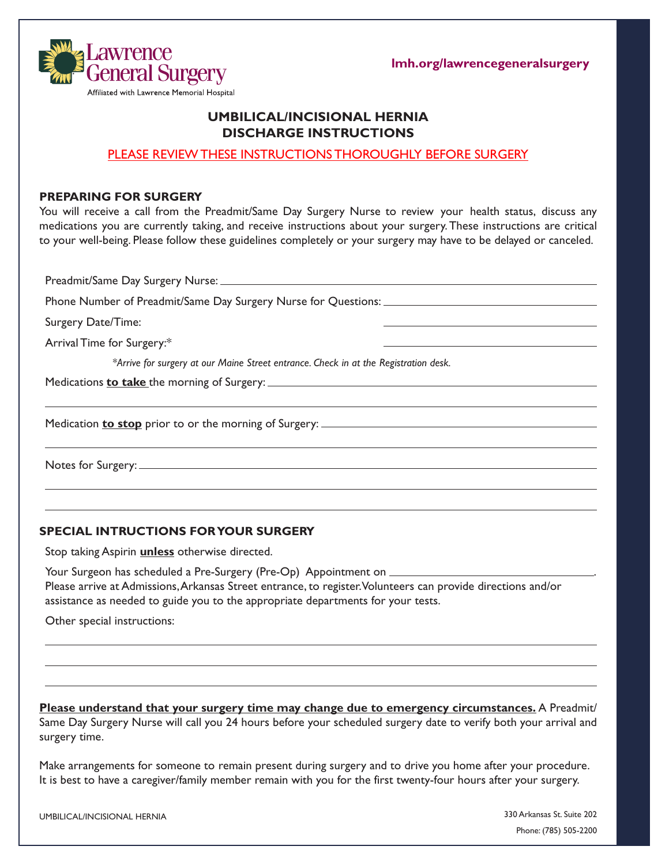

**lmh.org/lawrencegeneralsurgery**

# **UMBILICAL/INCISIONAL HERNIA DISCHARGE INSTRUCTIONS**

## PLEASE REVIEW THESE INSTRUCTIONS THOROUGHLY BEFORE SURGERY

#### **PREPARING FOR SURGERY**

a Lawrence

Affiliated with Lawrence Memorial Hospital

You will receive a call from the Preadmit/Same Day Surgery Nurse to review your health status, discuss any medications you are currently taking, and receive instructions about your surgery. These instructions are critical to your well-being. Please follow these guidelines completely or your surgery may have to be delayed or canceled.

Preadmit/Same Day Surgery Nurse: Phone Number of Preadmit/Same Day Surgery Nurse for Questions: Surgery Date/Time: Arrival Time for Surgery:\* *\*Arrive for surgery at our Maine Street entrance. Check in at the Registration desk.*  Medications **to take** the morning of Surgery: Medication **to stop** prior to or the morning of Surgery: Notes for Surgery:

## **SPECIAL INTRUCTIONS FOR YOUR SURGERY**

Stop taking Aspirin **unless** otherwise directed.

Your Surgeon has scheduled a Pre-Surgery (Pre-Op) Appointment on \_\_\_\_\_\_\_\_\_\_ Please arrive at Admissions, Arkansas Street entrance, to register. Volunteers can provide directions and/or assistance as needed to guide you to the appropriate departments for your tests.

Other special instructions:

**Please understand that your surgery time may change due to emergency circumstances.** A Preadmit/ Same Day Surgery Nurse will call you 24 hours before your scheduled surgery date to verify both your arrival and surgery time.

Make arrangements for someone to remain present during surgery and to drive you home after your procedure. It is best to have a caregiver/family member remain with you for the first twenty-four hours after your surgery.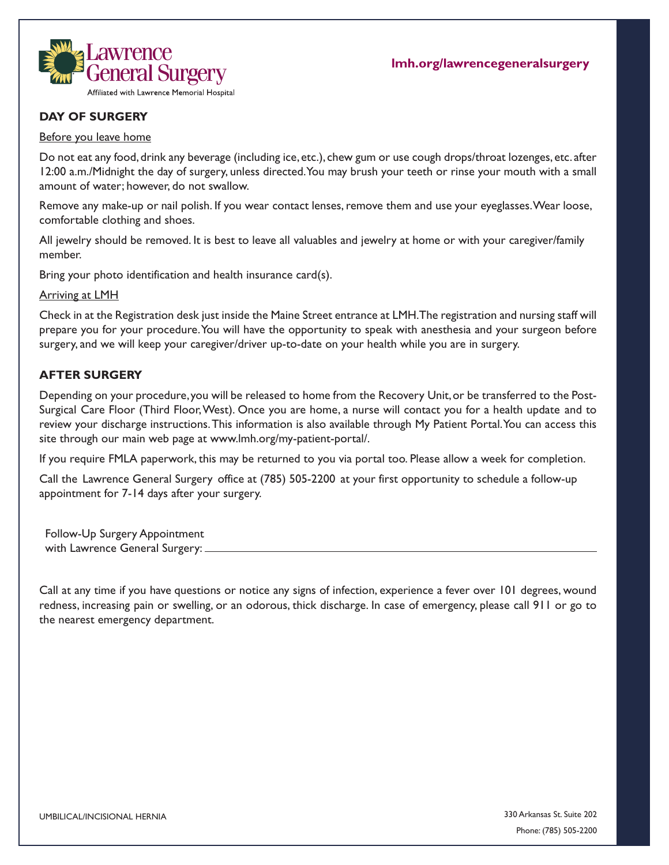

# **DAY OF SURGERY**

#### Before you leave home

Do not eat any food, drink any beverage (including ice, etc.), chew gum or use cough drops/throat lozenges, etc. after 12:00 a.m./Midnight the day of surgery, unless directed. You may brush your teeth or rinse your mouth with a small amount of water; however, do not swallow.

Remove any make-up or nail polish. If you wear contact lenses, remove them and use your eyeglasses. Wear loose, comfortable clothing and shoes.

All jewelry should be removed. It is best to leave all valuables and jewelry at home or with your caregiver/family member.

Bring your photo identification and health insurance card(s).

Arriving at LMH

Check in at the Registration desk just inside the Maine Street entrance at LMH. The registration and nursing staff will prepare you for your procedure. You will have the opportunity to speak with anesthesia and your surgeon before surgery, and we will keep your caregiver/driver up-to-date on your health while you are in surgery.

## **AFTER SURGERY**

Depending on your procedure, you will be released to home from the Recovery Unit, or be transferred to the Post-Surgical Care Floor (Third Floor, West). Once you are home, a nurse will contact you for a health update and to review your discharge instructions.This information is also available through My Patient Portal. You can access this site through our main web page at www.lmh.org/my-patient-portal/.

If you require FMLA paperwork, this may be returned to you via portal too. Please allow a week for completion.

Call the Lawrence General Surgery office at (785) 505-2200 at your first opportunity to schedule a follow-up appointment for 7-14 days after your surgery.

Follow-Up Surgery Appointment with Lawrence General Surgery:

Call at any time if you have questions or notice any signs of infection, experience a fever over 101 degrees, wound redness, increasing pain or swelling, or an odorous, thick discharge. In case of emergency, please call 911 or go to the nearest emergency department.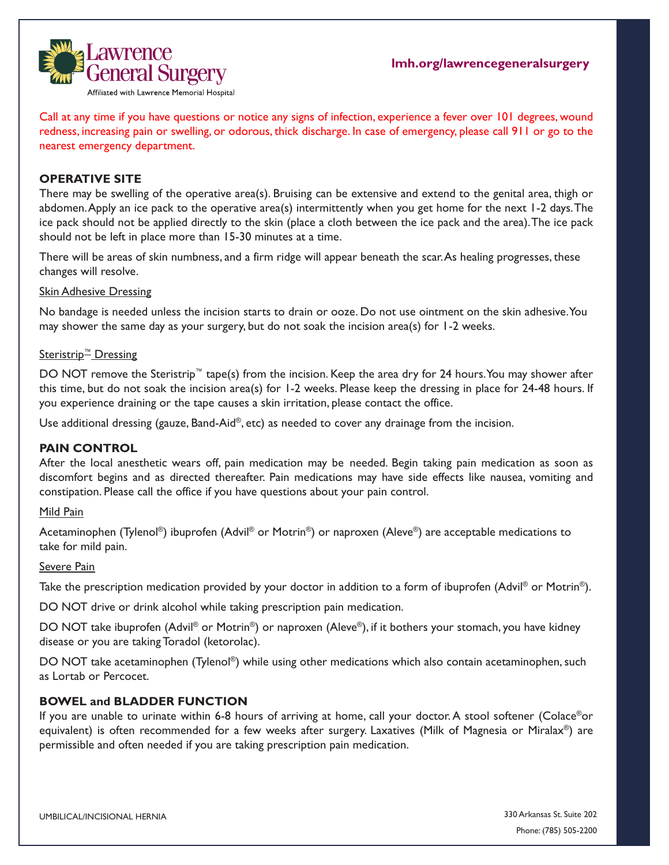

Call at any time if you have questions or notice any signs of infection, experience a fever over 101 degrees, wound redness, increasing pain or swelling, or odorous, thick discharge. In case of emergency, please call 911 or go to the nearest emergency department.

## **OPERATIVE SITE**

There may be swelling of the operative area(s). Bruising can be extensive and extend to the genital area, thigh or abdomen. Apply an ice pack to the operative area(s) intermittently when you get home for the next 1-2 days. The ice pack should not be applied directly to the skin (place a cloth between the ice pack and the area). The ice pack should not be left in place more than 15-30 minutes at a time.

There will be areas of skin numbness, and a firm ridge will appear beneath the scar. As healing progresses, these changes will resolve.

#### **Skin Adhesive Dressing**

No bandage is needed unless the incision starts to drain or ooze. Do not use ointment on the skin adhesive. You may shower the same day as your surgery, but do not soak the incision area(s) for 1-2 weeks.

## Steristrip<sup>™</sup> Dressing

DO NOT remove the Steristrip™ tape(s) from the incision. Keep the area dry for 24 hours. You may shower after this time, but do not soak the incision area(s) for 1-2 weeks. Please keep the dressing in place for 24-48 hours. If you experience draining or the tape causes a skin irritation, please contact the office.

Use additional dressing (gauze, Band-Aid®, etc) as needed to cover any drainage from the incision.

## **PAIN CONTROL**

After the local anesthetic wears off, pain medication may be needed. Begin taking pain medication as soon as discomfort begins and as directed thereafter. Pain medications may have side effects like nausea, vomiting and constipation. Please call the office if you have questions about your pain control.

#### Mild Pain

Acetaminophen (Tylenol®) ibuprofen (Advil® or Motrin®) or naproxen (Aleve®) are acceptable medications to take for mild pain.

#### Severe Pain

Take the prescription medication provided by your doctor in addition to a form of ibuprofen (Advil® or Motrin®).

DO NOT drive or drink alcohol while taking prescription pain medication.

DO NOT take ibuprofen (Advil<sup>®</sup> or Motrin<sup>®</sup>) or naproxen (Aleve®), if it bothers your stomach, you have kidney disease or you are taking Toradol (ketorolac).

DO NOT take acetaminophen (Tylenol®) while using other medications which also contain acetaminophen, such as Lortab or Percocet.

## **BOWEL and BLADDER FUNCTION**

If you are unable to urinate within 6-8 hours of arriving at home, call your doctor. A stool softener (Colace®or equivalent) is often recommended for a few weeks after surgery. Laxatives (Milk of Magnesia or Miralax®) are permissible and often needed if you are taking prescription pain medication.